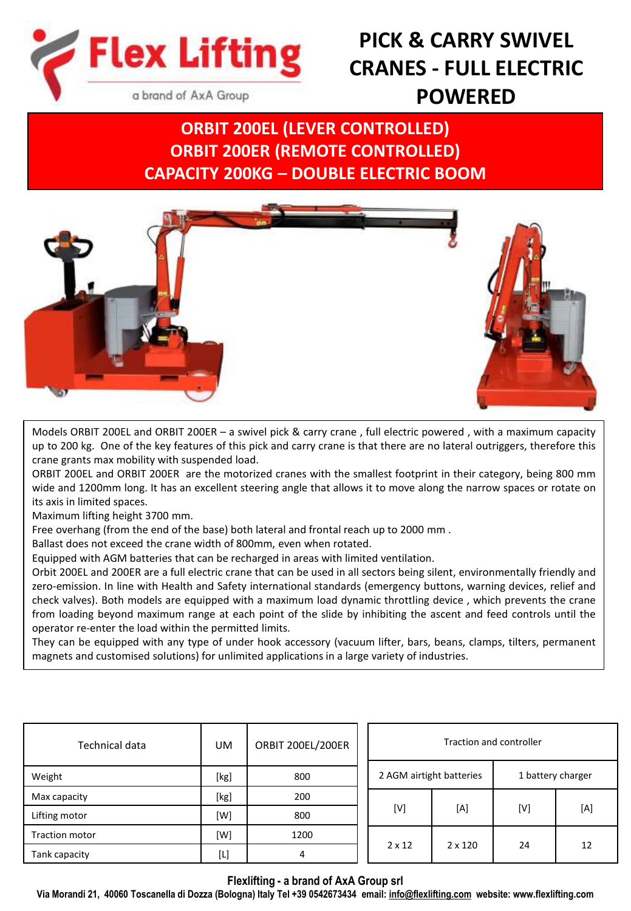

# **PICK & CARRY SWIVEL CRANES - FULL ELECTRIC POWERED**

# **ORBIT 200EL (LEVER CONTROLLED) ORBIT 200ER (REMOTE CONTROLLED) CAPACITY 200KG – DOUBLE ELECTRIC BOOM**



Models ORBIT 200EL and ORBIT 200ER – a swivel pick & carry crane , full electric powered , with a maximum capacity up to 200 kg. One of the key features of this pick and carry crane is that there are no lateral outriggers, therefore this crane grants max mobility with suspended load.

ORBIT 200EL and ORBIT 200ER are the motorized cranes with the smallest footprint in their category, being 800 mm wide and 1200mm long. It has an excellent steering angle that allows it to move along the narrow spaces or rotate on its axis in limited spaces.

Maximum lifting height 3700 mm.

Free overhang (from the end of the base) both lateral and frontal reach up to 2000 mm .

Ballast does not exceed the crane width of 800mm, even when rotated.

Equipped with AGM batteries that can be recharged in areas with limited ventilation.

Orbit 200EL and 200ER are a full electric crane that can be used in all sectors being silent, environmentally friendly and zero-emission. In line with Health and Safety international standards (emergency buttons, warning devices, relief and check valves). Both models are equipped with a maximum load dynamic throttling device , which prevents the crane from loading beyond maximum range at each point of the slide by inhibiting the ascent and feed controls until the operator re-enter the load within the permitted limits.

They can be equipped with any type of under hook accessory (vacuum lifter, bars, beans, clamps, tilters, permanent magnets and customised solutions) for unlimited applications in a large variety of industries.

| Technical data | UM   | ORBIT 200EL/200ER |               | Traction and controller |                          |                   |     |  |
|----------------|------|-------------------|---------------|-------------------------|--------------------------|-------------------|-----|--|
| Weight         | [kg] | 800               |               |                         | 2 AGM airtight batteries | 1 battery charger |     |  |
| Max capacity   | [kg] | 200               |               |                         |                          |                   |     |  |
| Lifting motor  | [W]  | 800               |               | [V]                     | [A]                      | [V]               | [A] |  |
| Traction motor | [W]  | 1200              |               |                         |                          |                   |     |  |
| Tank capacity  | [L]  | 4                 | $2 \times 12$ |                         | $2 \times 120$           | 24                | 12  |  |

## **Flexlifting - a brand of AxA Group srl**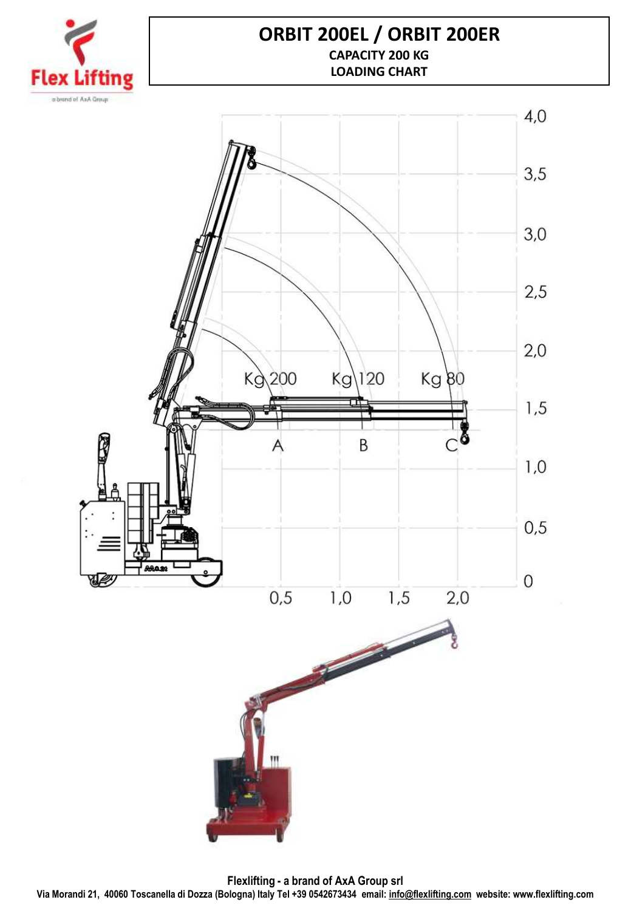

## **ORBIT 200EL / ORBIT 200ER CAPACITY 200 KG LOADING CHART**



**Flexlifting - a brand of AxA Group srl Via Morandi 21, 40060 Toscanella di Dozza (Bologna) Italy Tel +39 0542673434 email: [info@flexlifting.com](mailto:info@flexlifting.com) website: www.flexlifting.com**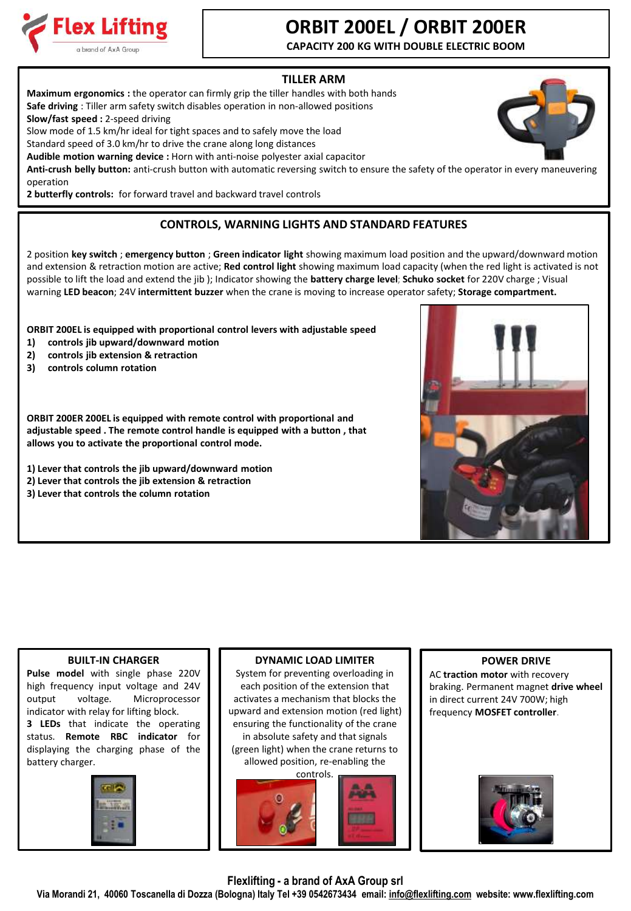

# **ORBIT 200EL / ORBIT 200ER**

**CAPACITY 200 KG WITH DOUBLE ELECTRIC BOOM**

### **TILLER ARM**

**Maximum ergonomics :** the operator can firmly grip the tiller handles with both hands **Safe driving** : Tiller arm safety switch disables operation in non-allowed positions

**Slow/fast speed :** 2-speed driving

Slow mode of 1.5 km/hr ideal for tight spaces and to safely move the load

Standard speed of 3.0 km/hr to drive the crane along long distances

**Audible motion warning device :** Horn with anti-noise polyester axial capacitor

**Anti-crush belly button:** anti-crush button with automatic reversing switch to ensure the safety of the operator in every maneuvering operation

**2 butterfly controls:** for forward travel and backward travel controls

## **CONTROLS, WARNING LIGHTS AND STANDARD FEATURES**

2 position **key switch** ; **emergency button** ; **Green indicator light** showing maximum load position and the upward/downward motion and extension & retraction motion are active; **Red control light** showing maximum load capacity (when the red light is activated is not possible to lift the load and extend the jib ); Indicator showing the **battery charge level**; **Schuko socket** for 220V charge ; Visual warning **LED beacon**; 24V **intermittent buzzer** when the crane is moving to increase operator safety; **Storage compartment.**

**ORBIT 200EL is equipped with proportional control levers with adjustable speed**

- **1) controls jib upward/downward motion**
- **2) controls jib extension & retraction**
- **3) controls column rotation**

**ORBIT 200ER 200EL is equipped with remote control with proportional and adjustable speed . The remote control handle is equipped with a button , that allows you to activate the proportional control mode.**

**1) Lever that controls the jib upward/downward motion**

- **2) Lever that controls the jib extension & retraction**
- **3) Lever that controls the column rotation**



#### **BUILT-IN CHARGER**

**Pulse model** with single phase 220V high frequency input voltage and 24V output voltage. Microprocessor indicator with relay for lifting block. **3 LEDs** that indicate the operating status. **Remote RBC indicator** for displaying the charging phase of the battery charger.



#### **DYNAMIC LOAD LIMITER**

System for preventing overloading in each position of the extension that activates a mechanism that blocks the upward and extension motion (red light) ensuring the functionality of the crane in absolute safety and that signals (green light) when the crane returns to allowed position, re-enabling the

controls.



#### **POWER DRIVE**

AC **traction motor** with recovery braking. Permanent magnet **drive wheel**  in direct current 24V 700W; high frequency **MOSFET controller**.



### **Flexlifting - a brand of AxA Group srl**

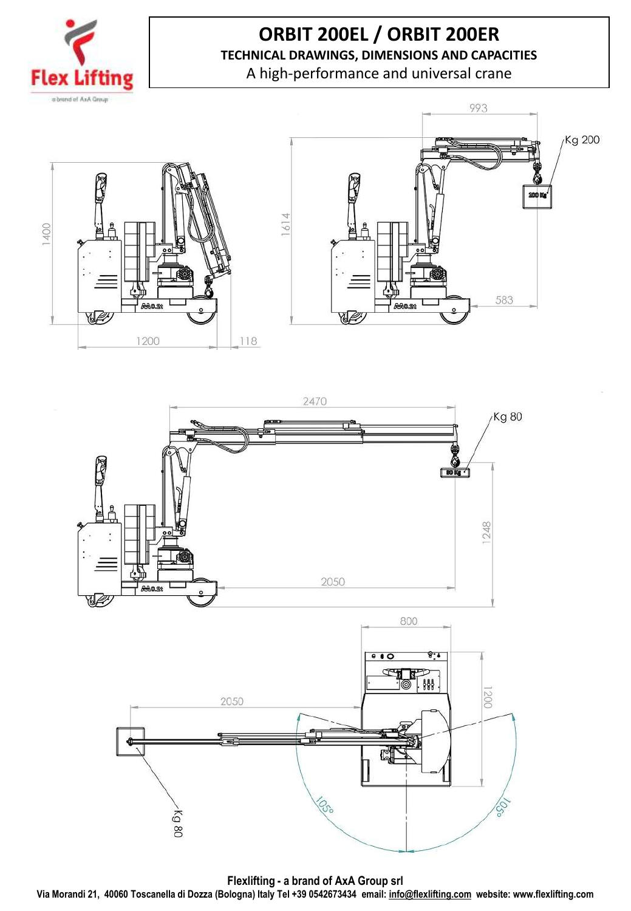

# **ORBIT 200EL / ORBIT 200ER TECHNICAL DRAWINGS, DIMENSIONS AND CAPACITIES**

A high-performance and universal crane





**Flexlifting - a brand of AxA Group srl Via Morandi 21, 40060 Toscanella di Dozza (Bologna) Italy Tel +39 0542673434 email: [info@flexlifting.com](mailto:info@flexlifting.com) website: www.flexlifting.com**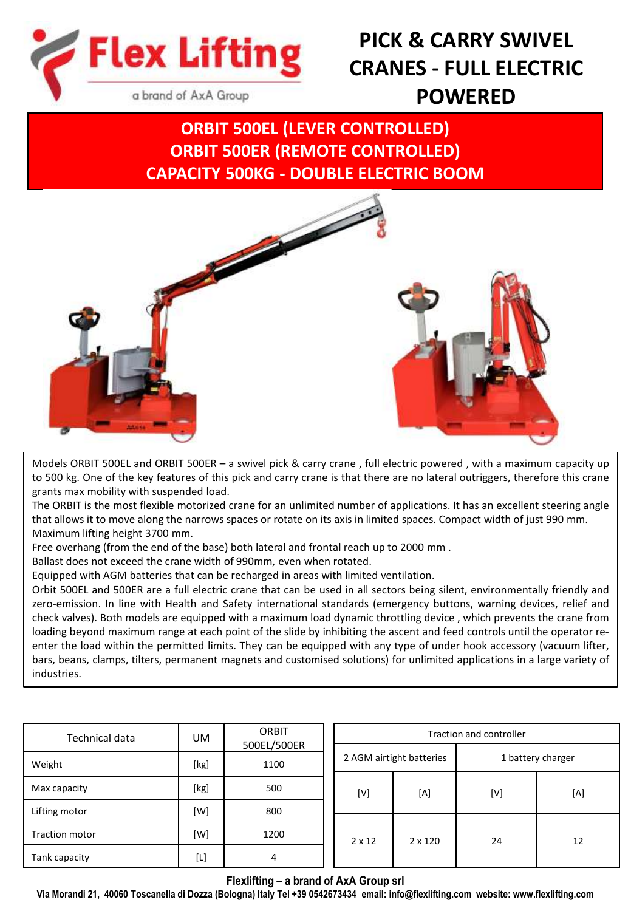

# **PICK & CARRY SWIVEL CRANES - FULL ELECTRIC POWERED**

# **ORBIT 500EL (LEVER CONTROLLED) ORBIT 500ER (REMOTE CONTROLLED) CAPACITY 500KG - DOUBLE ELECTRIC BOOM**



Models ORBIT 500EL and ORBIT 500ER – a swivel pick & carry crane , full electric powered , with a maximum capacity up to 500 kg. One of the key features of this pick and carry crane is that there are no lateral outriggers, therefore this crane grants max mobility with suspended load.

The ORBIT is the most flexible motorized crane for an unlimited number of applications. It has an excellent steering angle that allows it to move along the narrows spaces or rotate on its axis in limited spaces. Compact width of just 990 mm. Maximum lifting height 3700 mm.

Free overhang (from the end of the base) both lateral and frontal reach up to 2000 mm .

Ballast does not exceed the crane width of 990mm, even when rotated.

Equipped with AGM batteries that can be recharged in areas with limited ventilation.

Orbit 500EL and 500ER are a full electric crane that can be used in all sectors being silent, environmentally friendly and zero-emission. In line with Health and Safety international standards (emergency buttons, warning devices, relief and check valves). Both models are equipped with a maximum load dynamic throttling device , which prevents the crane from loading beyond maximum range at each point of the slide by inhibiting the ascent and feed controls until the operator reenter the load within the permitted limits. They can be equipped with any type of under hook accessory (vacuum lifter, bars, beans, clamps, tilters, permanent magnets and customised solutions) for unlimited applications in a large variety of industries.

| Technical data        | UM.  | <b>ORBIT</b><br>500EL/500ER |  | <b>Traction and controller</b> |                       |                   |           |  |  |
|-----------------------|------|-----------------------------|--|--------------------------------|-----------------------|-------------------|-----------|--|--|
| Weight                | [kg] | 1100                        |  | 2 AGM airtight batteries       |                       | 1 battery charger |           |  |  |
|                       |      |                             |  |                                |                       |                   |           |  |  |
| Max capacity          | [kg] | 500                         |  | [V]<br>$2 \times 12$           | [A]<br>$2 \times 120$ | [V]<br>24         | [A]<br>12 |  |  |
| Lifting motor         | [W]  | 800                         |  |                                |                       |                   |           |  |  |
| <b>Traction motor</b> | [W]  | 1200                        |  |                                |                       |                   |           |  |  |
| Tank capacity         | [L]  | 4                           |  |                                |                       |                   |           |  |  |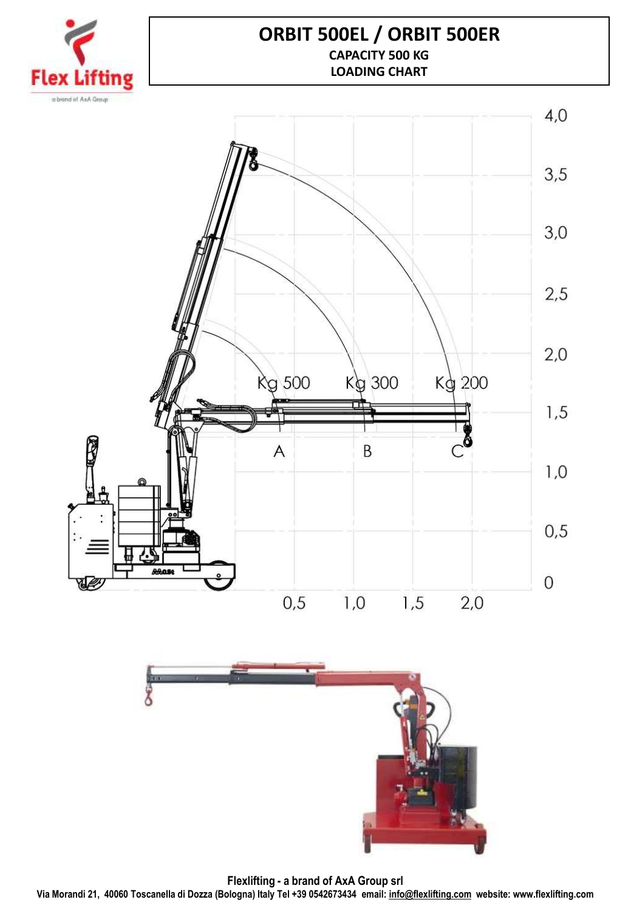

## **ORBIT 500EL / ORBIT 500ER CAPACITY 500 KG LOADING CHART**





**Flexlifting - a brand of AxA Group srl Via Morandi 21, 40060 Toscanella di Dozza (Bologna) Italy Tel +39 0542673434 email: [info@flexlifting.com](mailto:info@flexlifting.com) website: www.flexlifting.com**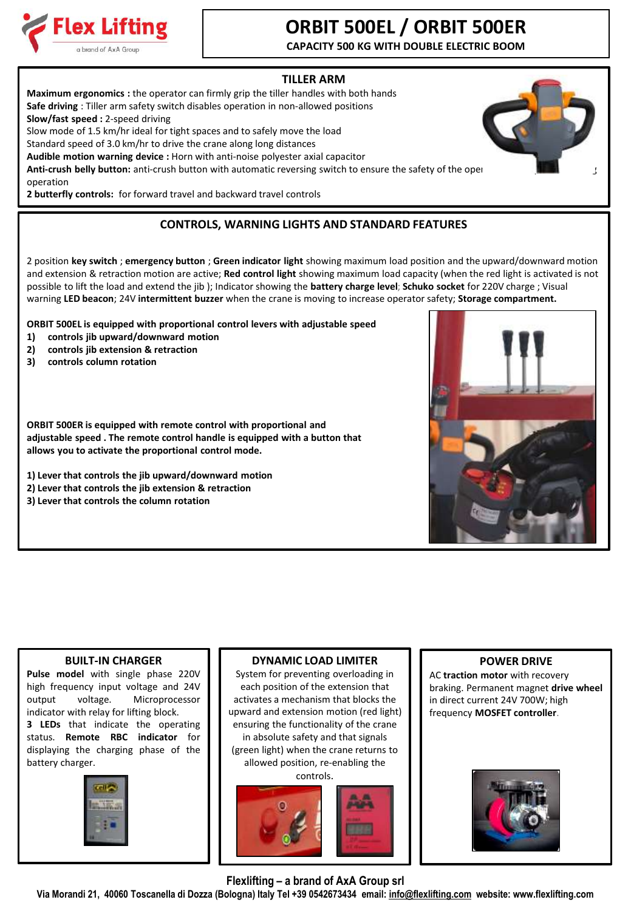

# **ORBIT 500EL / ORBIT 500ER**

**CAPACITY 500 KG WITH DOUBLE ELECTRIC BOOM**

### **TILLER ARM**

**Maximum ergonomics :** the operator can firmly grip the tiller handles with both hands **Safe driving** : Tiller arm safety switch disables operation in non-allowed positions **Slow/fast speed :** 2-speed driving Slow mode of 1.5 km/hr ideal for tight spaces and to safely move the load Standard speed of 3.0 km/hr to drive the crane along long distances **Audible motion warning device :** Horn with anti-noise polyester axial capacitor

Anti-crush belly button: anti-crush button with automatic reversing switch to ensure the safety of the oper operation

**2 butterfly controls:** for forward travel and backward travel controls

## **CONTROLS, WARNING LIGHTS AND STANDARD FEATURES**

2 position **key switch** ; **emergency button** ; **Green indicator light** showing maximum load position and the upward/downward motion and extension & retraction motion are active; **Red control light** showing maximum load capacity (when the red light is activated is not possible to lift the load and extend the jib ); Indicator showing the **battery charge level**; **Schuko socket** for 220V charge ; Visual warning **LED beacon**; 24V **intermittent buzzer** when the crane is moving to increase operator safety; **Storage compartment.**

**ORBIT 500EL is equipped with proportional control levers with adjustable speed**

- **1) controls jib upward/downward motion**
- **2) controls jib extension & retraction**
- **3) controls column rotation**

**ORBIT 500ER is equipped with remote control with proportional and adjustable speed . The remote control handle is equipped with a button that allows you to activate the proportional control mode.**

- **1) Lever that controls the jib upward/downward motion**
- **2) Lever that controls the jib extension & retraction**
- **3) Lever that controls the column rotation**



#### **BUILT-IN CHARGER**

**Pulse model** with single phase 220V high frequency input voltage and 24V output voltage. Microprocessor indicator with relay for lifting block. **3 LEDs** that indicate the operating status. **Remote RBC indicator** for displaying the charging phase of the battery charger.



### **DYNAMIC LOAD LIMITER**

System for preventing overloading in each position of the extension that activates a mechanism that blocks the upward and extension motion (red light) ensuring the functionality of the crane in absolute safety and that signals (green light) when the crane returns to allowed position, re-enabling the controls.



#### **POWER DRIVE**

AC **traction motor** with recovery braking. Permanent magnet **drive wheel**  in direct current 24V 700W; high frequency **MOSFET controller**.



**Flexlifting – a brand of AxA Group srl**